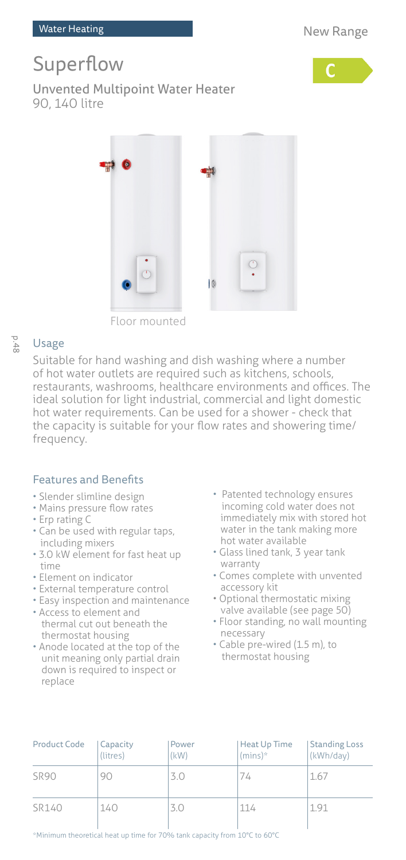# Superflow



Unvented Multipoint Water Heater 90, 140 litre



Floor mounted

#### p.48 Usage

Suitable for hand washing and dish washing where a number of hot water outlets are required such as kitchens, schools, restaurants, washrooms, healthcare environments and offices. The ideal solution for light industrial, commercial and light domestic hot water requirements. Can be used for a shower - check that the capacity is suitable for your flow rates and showering time/ frequency.

## Features and Benefits

- Slender slimline design
- Mains pressure flow rates
- Erp rating C
- Can be used with regular taps, including mixers
- 3.0 kW element for fast heat up time
- Element on indicator
- External temperature control
- Easy inspection and maintenance
- Access to element and thermal cut out beneath the thermostat housing
- Anode located at the top of the unit meaning only partial drain down is required to inspect or replace
- Patented technology ensures incoming cold water does not immediately mix with stored hot water in the tank making more hot water available
- Glass lined tank, 3 year tank warranty
- Comes complete with unvented accessory kit
- Optional thermostatic mixing valve available (see page 50)
- Floor standing, no wall mounting necessary
- Cable pre-wired (1.5 m), to thermostat housing

| Product Code | Capacity<br>(litres) | Power<br>(kW) | <b>Heat Up Time</b><br>$(mins)^*$ | <b>Standing Loss</b><br>(kWh/day) |
|--------------|----------------------|---------------|-----------------------------------|-----------------------------------|
| SR90         | 90                   | 3.0           | 74                                | 1.67                              |
| SR140        | 140                  | 3.0           | 114                               | 1.91                              |

\*Minimum theoretical heat up time for 70% tank capacity from 10°C to 60°C